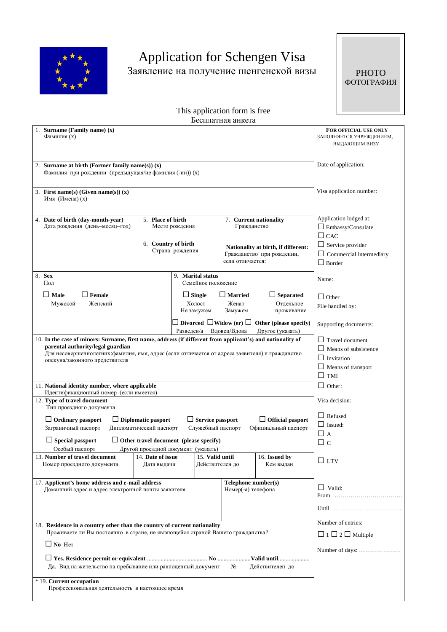

# Application for Schengen Visa Заявление на получение шенгенской визы

**PHOTO** ФОТОГРАФИЯ

This application form is free Бесплатная анкета

|                                                                                                                                      |                           |                                                        | DUUIIJIATHAA AHNUTA                       |                                                                    |                                                                            |
|--------------------------------------------------------------------------------------------------------------------------------------|---------------------------|--------------------------------------------------------|-------------------------------------------|--------------------------------------------------------------------|----------------------------------------------------------------------------|
| 1. Surname (Family name) (x)<br>Фамилия (х)                                                                                          |                           |                                                        |                                           | FOR OFFICIAL USE ONLY<br>ЗАПОЛНЯЕТСЯ УЧРЕЖДЕНИЕМ,<br>ВЫДАЮЩИМ ВИЗУ |                                                                            |
| 2. Surname at birth (Former family name(s)) $(x)$<br>Фамилия при рождении (предыдущая/ие фамилия (-ии)) (x)                          |                           |                                                        |                                           |                                                                    | Date of application:                                                       |
| 3. First name(s) (Given name(s)) $(x)$<br>Имя (Имена) (х)                                                                            |                           |                                                        |                                           |                                                                    | Visa application number:                                                   |
| 4. Date of birth (day-month-year)<br>Дата рождения (день-месяц-год)                                                                  | 5. Place of birth         | Место рождения                                         | Гражданство                               | 7. Current nationality                                             | Application lodged at:<br>$\Box$ Embassy/Consulate<br>$\Box$ CAC           |
|                                                                                                                                      | 6. Country of birth       | Страна рождения                                        | если отличается:                          | Nationality at birth, if different:<br>Гражданство при рождении,   | $\Box$ Service provider<br>$\Box$ Commercial intermediary<br>$\Box$ Border |
| 8. Sex<br>Пол                                                                                                                        |                           | 9. Marital status<br>Семейное положение                |                                           |                                                                    | Name:                                                                      |
| $\Box$ Male<br>$\Box$ Female                                                                                                         |                           | $\Box$ Single                                          | <b>∣Married</b>                           | $\Box$ Separated                                                   |                                                                            |
| Женский<br>Мужской                                                                                                                   |                           | Холост<br>Не замужем                                   | Женат<br>Замужем                          | Отдельное<br>проживание                                            | $\Box$ Other<br>File handled by:                                           |
|                                                                                                                                      |                           | Divorced $\Box$ Widow (er) $\Box$<br>Разведен/а        | Вдовец/Вдова                              | Other (please specify)<br>Другое (указать)                         | Supporting documents:                                                      |
| 10. In the case of minors: Surname, first name, address (if different from applicant's) and nationality of                           |                           |                                                        |                                           |                                                                    | $\Box$ Travel document                                                     |
| parental authority/legal guardian<br>Для несовершеннолетних: фамилия, имя, адрес (если отличается от адреса заявителя) и гражданство |                           |                                                        |                                           |                                                                    | $\Box$ Means of subsistence                                                |
| опекуна/законного предствителя                                                                                                       |                           |                                                        |                                           |                                                                    | $\Box$ Invitation                                                          |
|                                                                                                                                      |                           |                                                        |                                           |                                                                    | $\Box$ Means of transport<br>$\square$ TMI                                 |
| 11. National identity number, where applicable                                                                                       |                           |                                                        |                                           |                                                                    | $\Box$ Other:                                                              |
| Идентификационный номер (если имеется)                                                                                               |                           |                                                        |                                           |                                                                    |                                                                            |
| 12. Type of travel document<br>Тип проездного документа                                                                              |                           |                                                        |                                           |                                                                    | Visa decision:                                                             |
| $\Box$ Ordinary passport                                                                                                             | $\Box$ Diplomatic pasport | $\Box$ Service passport                                |                                           | $\Box$ Official pasport                                            | $\Box$ Refused                                                             |
| Заграничный паспорт<br>Дипломатический паспорт                                                                                       |                           | Служебный паспорт                                      |                                           | Официальный паспорт                                                | $\Box$ Issued:<br>$\Box$ a                                                 |
| $\Box$ Special passport                                                                                                              |                           | $\Box$ Other travel document (please specify)          |                                           |                                                                    | □с                                                                         |
| Особый паспорт<br>13. Number of travel document                                                                                      | 14. Date of issue         | Другой проездной документ (указать)<br>15. Valid until |                                           | 16. Issued by                                                      |                                                                            |
| Номер проездного документа                                                                                                           | Дата выдачи               | Действителен до                                        |                                           | Кем выдан                                                          | $\Box$ LTV                                                                 |
| 17. Applicant's home address and e-mail address<br>Домашний адрес и адрес электронной почты заявителя                                |                           |                                                        | Telephone number(s)<br>Номер(-а) телефона |                                                                    | $\Box$ Valid:                                                              |
|                                                                                                                                      |                           |                                                        |                                           |                                                                    | From                                                                       |
|                                                                                                                                      |                           |                                                        |                                           |                                                                    |                                                                            |
| 18. Residence in a country other than the country of current nationality                                                             |                           |                                                        |                                           |                                                                    | Number of entries:                                                         |
| Проживаете ли Вы постоянно в стране, не являющейся страной Вашего гражданства?                                                       |                           |                                                        |                                           |                                                                    | $\Box$ 1 $\Box$ 2 $\Box$ Multiple                                          |
| $\Box$ No Her                                                                                                                        |                           |                                                        |                                           |                                                                    | Number of days:                                                            |
| Да. Вид на жительство на пребывание или равноценный документ<br>N <sub>2</sub><br>Действителен до                                    |                           |                                                        |                                           |                                                                    |                                                                            |
| * 19. Current occupation<br>Профессиональная деятельность в настоящее время                                                          |                           |                                                        |                                           |                                                                    |                                                                            |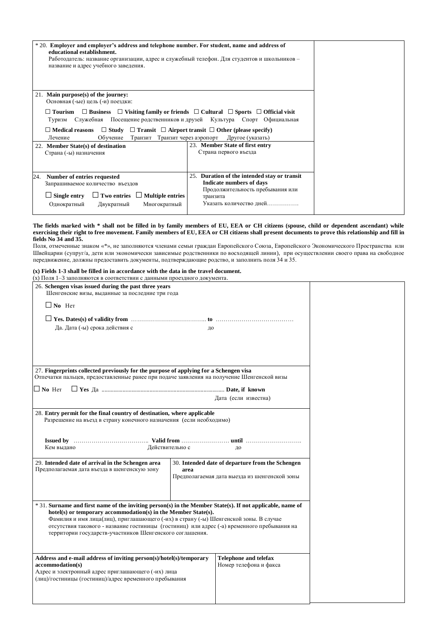| * 20. Employer and employer's address and telephone number. For student, name and address of<br>educational establishment.<br>Работодатель: название организации, адрес и служебный телефон. Для студентов и школьников -<br>название и адрес учебного заведения. |                                                                                                       |  |
|-------------------------------------------------------------------------------------------------------------------------------------------------------------------------------------------------------------------------------------------------------------------|-------------------------------------------------------------------------------------------------------|--|
| 21. Main purpose(s) of the journey:                                                                                                                                                                                                                               |                                                                                                       |  |
| Основная (-ые) цель (-и) поездки:                                                                                                                                                                                                                                 |                                                                                                       |  |
|                                                                                                                                                                                                                                                                   |                                                                                                       |  |
| $\Box$ Tourism                                                                                                                                                                                                                                                    | $\Box$ Business $\Box$ Visiting family or friends $\Box$ Cultural $\Box$ Sports $\Box$ Official visit |  |
| Служебная<br>Туризм                                                                                                                                                                                                                                               | Посещение родственников и друзей Культура Спорт Официальная                                           |  |
|                                                                                                                                                                                                                                                                   |                                                                                                       |  |
| $\Box$ Medical reasons                                                                                                                                                                                                                                            | $\Box$ Study $\Box$ Transit $\Box$ Airport transit $\Box$ Other (please specify)                      |  |
| Лечение<br>Обучение<br>Транзит                                                                                                                                                                                                                                    | Транзит через аэропорт<br>Другое (указать)                                                            |  |
| 22. Member State(s) of destination                                                                                                                                                                                                                                | 23. Member State of first entry                                                                       |  |
| Страна (-ы) назначения                                                                                                                                                                                                                                            | Страна первого въезда                                                                                 |  |
|                                                                                                                                                                                                                                                                   |                                                                                                       |  |
|                                                                                                                                                                                                                                                                   |                                                                                                       |  |
|                                                                                                                                                                                                                                                                   |                                                                                                       |  |
| Number of entries requested<br>24.                                                                                                                                                                                                                                | Duration of the intended stay or transit<br>25.                                                       |  |
| Запрашиваемое количество въездов                                                                                                                                                                                                                                  | <b>Indicate numbers of days</b>                                                                       |  |
|                                                                                                                                                                                                                                                                   | Продолжительность пребывания или                                                                      |  |
| $\Box$ Single entry $\Box$ Two entries $\Box$ Multiple entries                                                                                                                                                                                                    | транзита                                                                                              |  |
| Однократный<br>Двукратный<br>Многократный                                                                                                                                                                                                                         | Указать количество дней                                                                               |  |
|                                                                                                                                                                                                                                                                   |                                                                                                       |  |

#### **The fields marked with \* shall not be filled in by family members of EU, EEA or CH citizens (spouse, child or dependent ascendant) while exercising their right to free movement. Family members of EU, EEA or CH citizens shall present documents to prove this relationship and fill in fields No 34 and 35.**

Поля, отмеченные знаком «\*», не заполняются членами семьи граждан Европейского Союза, Европейского Экономического Пространства или Швейцарии (супруг/а, дети или экономически зависимые родственники по восходящей линии), при осуществлении своего права на свободное передвижение, должны предоставить документы, подтверждающие родство, и заполнить поля 34 и 35.

#### **(x) Fields 1-3 shall be filled in in accordance with the data in the travel document.**

| (х) Поля 1-3 заполняются в соответствии с данными проездного документа.                                                                                                     |                 |                                                  |  |
|-----------------------------------------------------------------------------------------------------------------------------------------------------------------------------|-----------------|--------------------------------------------------|--|
| 26. Schengen visas issued during the past three years                                                                                                                       |                 |                                                  |  |
| Шенгенские визы, выданные за последние три года                                                                                                                             |                 |                                                  |  |
| $\Box$ No Her                                                                                                                                                               |                 |                                                  |  |
|                                                                                                                                                                             |                 |                                                  |  |
| Да. Дата (-ы) срока действия с                                                                                                                                              | до              |                                                  |  |
|                                                                                                                                                                             |                 |                                                  |  |
|                                                                                                                                                                             |                 |                                                  |  |
|                                                                                                                                                                             |                 |                                                  |  |
|                                                                                                                                                                             |                 |                                                  |  |
| 27. Fingerprints collected previously for the purpose of applying for a Schengen visa                                                                                       |                 |                                                  |  |
| Отпечатки пальцев, предоставленные ранее при подаче заявления на получение Шенгенской визы                                                                                  |                 |                                                  |  |
| $\Box$ No Her                                                                                                                                                               |                 |                                                  |  |
|                                                                                                                                                                             |                 | Дата (если известна)                             |  |
|                                                                                                                                                                             |                 |                                                  |  |
| 28. Entry permit for the final country of destination, where applicable                                                                                                     |                 |                                                  |  |
| Разрешение на въезд в страну конечного назначения (если необходимо)                                                                                                         |                 |                                                  |  |
|                                                                                                                                                                             |                 |                                                  |  |
|                                                                                                                                                                             |                 |                                                  |  |
| Кем выдано                                                                                                                                                                  | Действительно с | до                                               |  |
|                                                                                                                                                                             |                 |                                                  |  |
| 29. Intended date of arrival in the Schengen area<br>Предполагаемая дата въезда в шенгенскую зону                                                                           | area            | 30. Intended date of departure from the Schengen |  |
|                                                                                                                                                                             |                 | Предполагаемая дата выезда из шенгенской зоны    |  |
|                                                                                                                                                                             |                 |                                                  |  |
|                                                                                                                                                                             |                 |                                                  |  |
|                                                                                                                                                                             |                 |                                                  |  |
| * 31. Surname and first name of the inviting person(s) in the Member State(s). If not applicable, name of<br>hotel(s) or temporary accommodation(s) in the Member State(s). |                 |                                                  |  |
| Фамилия и имя лица(лиц), приглашающего (-их) в страну (-ы) Шенгенской зоны. В случае                                                                                        |                 |                                                  |  |
| отсутствия такового - название гостиницы (гостиниц) или адрес (-а) временного пребывания на                                                                                 |                 |                                                  |  |
| территории государств-участников Шенгенского соглашения.                                                                                                                    |                 |                                                  |  |
|                                                                                                                                                                             |                 |                                                  |  |
|                                                                                                                                                                             |                 |                                                  |  |
| Address and e-mail address of inviting person(s)/hotel(s)/temporary                                                                                                         |                 | <b>Telephone and telefax</b>                     |  |
| accommodation(s)<br>Адрес и электронный адрес приглашающего (-их) лица                                                                                                      |                 | Номер телефона и факса                           |  |
| (лиц)/гостиницы (гостиниц)/адрес временного пребывания                                                                                                                      |                 |                                                  |  |
|                                                                                                                                                                             |                 |                                                  |  |
|                                                                                                                                                                             |                 |                                                  |  |
|                                                                                                                                                                             |                 |                                                  |  |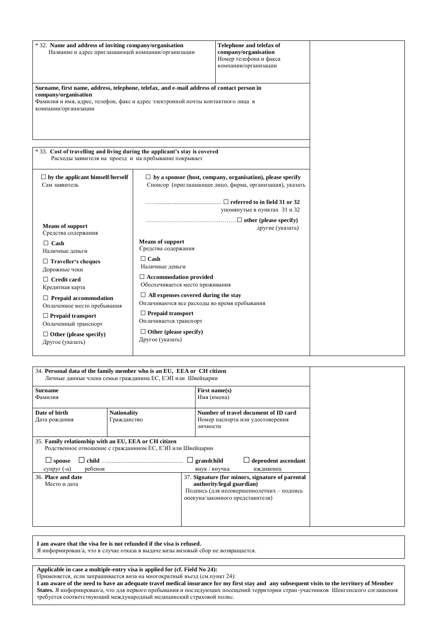| * 32. Name and address of inviting company/organisation<br>Название и адрес приглашающей компании/организации                                                                                                                                                                                  |                                                                                                                                                                                                                                                                                                                                                                | Telephone and telefax of<br>company/organisation<br>Номер телефона и факса<br>компании/организации                            |  |
|------------------------------------------------------------------------------------------------------------------------------------------------------------------------------------------------------------------------------------------------------------------------------------------------|----------------------------------------------------------------------------------------------------------------------------------------------------------------------------------------------------------------------------------------------------------------------------------------------------------------------------------------------------------------|-------------------------------------------------------------------------------------------------------------------------------|--|
| Surname, first name, address, telephone, telefax, and e-mail address of contact person in<br>company/organisation<br>Фамилия и имя, адрес, телефон, факс и адрес электронной почты контактного лица в<br>компании/организации                                                                  |                                                                                                                                                                                                                                                                                                                                                                |                                                                                                                               |  |
| *33. Cost of travelling and living during the applicant's stay is covered<br>Расходы заявителя на проезд и на пребывание покрывает                                                                                                                                                             |                                                                                                                                                                                                                                                                                                                                                                |                                                                                                                               |  |
| $\Box$ by the applicant himself/herself<br>Сам заявитель                                                                                                                                                                                                                                       |                                                                                                                                                                                                                                                                                                                                                                | $\Box$ by a sponsor (host, company, organisation), please specify<br>Спонсор (приглашающее лицо, фирма, организация), указать |  |
| <b>Means of support</b><br>Средства содержания                                                                                                                                                                                                                                                 |                                                                                                                                                                                                                                                                                                                                                                | упомянутые в пунктах 31 и 32<br>другие (указать)                                                                              |  |
| $\Box$ Cash<br>Наличные деньги<br>$\Box$ Traveller's cheques<br>Дорожные чеки<br>$\Box$ Credit card<br>Кредитная карта<br>$\Box$ Prepaid accommodation<br>Оплаченное место пребывания<br>$\Box$ Prepaid transport<br>Оплаченный транспорт<br>$\Box$ Other (please specify)<br>Другое (указать) | <b>Means of support</b><br>Средства содержания<br>$\Box$ Cash<br>Наличные деньги<br>$\Box$ Accommodation provided<br>Обеспечивается место проживания<br>$\Box$ All expenses covered during the stay<br>Оплачиваются все расходы во время пребывания<br>$\Box$ Prepaid transport<br>Оплачивается транспорт<br>$\Box$ Other (please specify)<br>Другое (указать) |                                                                                                                               |  |

| 34. Personal data of the family member who is an EU, EEA or CH citizen<br>Личные данные члена семьи гражданина ЕС, ЕЭП или Швейцарии |                                                           |                                                                                                                                                                |  |
|--------------------------------------------------------------------------------------------------------------------------------------|-----------------------------------------------------------|----------------------------------------------------------------------------------------------------------------------------------------------------------------|--|
| <b>Surname</b><br>Фамилия                                                                                                            |                                                           | First name $(s)$<br>Имя (имена)                                                                                                                                |  |
| Date of birth<br>Дата рождения                                                                                                       | <b>Nationality</b><br>Гражданство                         | Number of travel document of ID card<br>Номер паспорта или удостоверения<br>личности                                                                           |  |
| 35. Family relationship with an EU, EEA or CH citizen<br>$\Box$ spouse<br>ребенок<br>супруг (-а)                                     | Родственное отношение с гражданином ЕС, ЕЭП или Швейцарии | $\Box$ grandchild<br>$\Box$ dependent ascendant<br>внук / внучка<br>иждивенец                                                                                  |  |
| 36. Place and date<br>Место и дата                                                                                                   |                                                           | 37. Signature (for minors, signature of parental<br>authority/legal guardian)<br>Подпись (для несовершеннолетних - подпись<br>опекуна/законного представителя) |  |

**I am aware that the visa fee is not refunded if the visa is refused.** Я информирован/a, что в случае отказа в выдаче визы визовый сбор не возвращается.

**Applicable in case a multiple-entry visa is applied for (cf. Field No 24):**

Применяется, если запрашивается виза на многократный въезд (см.пункт 24):

**I am aware of the need to have an adequate travel medical insurance for my first stay and any subsequent visits to the territory of Member States.** Я информирован/a, что для первого пребывания и последующих посещений территории стран-участников Шенгенского соглашения требуется соответствующий международный медицинский страховой полис.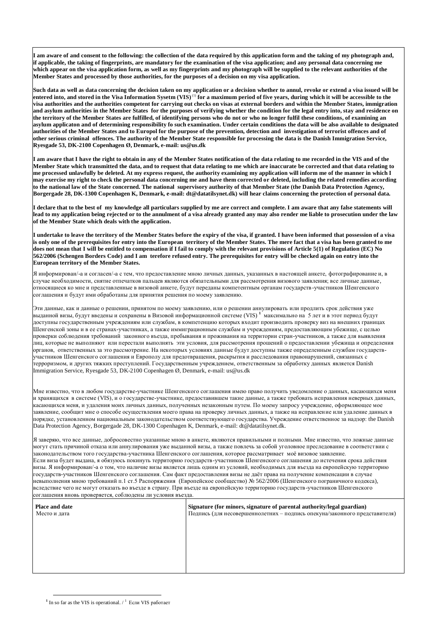**I am aware of and consent to the following: the collection of the data required by this application form and the taking of my photograph and, if applicable, the taking of fingerprints, are mandatory for the examination of the visa application; and any personal data concerning me which appear on the visa application form, as well as my fingerprints and my photograph will be supplied to the relevant authorities of the Member States and processed by those authorities, for the purposes of a decision on my visa application.**

**Such data as well as data concerning the decision taken on my application or a decision whether to annul, revoke or extend a visa issued will be entered into, and stored in the Visa Information Sysetm (VIS)** (1) **for a maximum period of five years, during which it will be accessible to the visa authorities and the authorities competent for carrying out checks on visas at external borders and within the Member States, immigration and asylum authorities in the Member States for the purposes of verifying whether the condition for the legal entry into, stay and residence on the territory of the Member States are fulfilled, of identifying persons who do not or who no longer fulfil these conditions, of examining an asylum applicaton and of determining responsibility fo such examination. Under certain conditions the data will be also available to designated authorities of the Member States and to Europol for the purpose of the prevention, detection and investigation of terrorist offences and of other serious criminal offences. The authority of the Member State responsible for processing the data is the Danish Immigration Service, Ryesgade 53, DK-2100 Copenhagen Ø, Denmark, e-mail: us@us.dk**

**I am aware that I have the right to obtain in any of the Member States notification of the data relating to me recorded in the VIS and of the Member State which transmitted the data, and to request that data relating to me which are inaccurate be corrected and that data relating to me processed unlawfully be deleted. At my express request, the authority examining my application will inform me of the manner in which I may exercise my right to check the personal data concerning me and have them corrected or deleted, including the related remedies according to the national law of the State concerned. The national supervisory authority of that Member State (the Danish Data Protection Agency, Borgergade 28, DK-1300 Copenhagen K, Denmark, e-mail: dt@datatilsynet.dk) will hear claims concerning the protection of personal data.**

**I declare that to the best of my knowledge all particulars supplied by me are correct and complete. I am aware that any false statements will lead to my application being rejected or to the annulment of a visa already granted any may also render me liable to prosecution under the law of the Member State which deals with the application.**

**I undertake to leave the territory of the Member States before the expiry of the visa, if granted. I have been informed that possession of a visa is only one of the prerequisites for entry into the European territory of the Member States. The mere fact that a visa has been granted to me does not mean that I will be entitled to compensation if I fail to comply with the relevant provisions of Article 5(1) of Regulation (EC) No 562/2006 (Schengen Borders Code) and I am terefore refused entry. The prerequisites for entry will be checked again on entry into the European territory of the Member States.**

Я информирован/-а и согласен/-а с тем, что предоставление мною личных данных, указанных в настоящей анкете, фотографирование и, в случае необходимости, снятие отпечатков пальцев являются обязательными для рассмотрения визового заявления; все личные данные, относящиеся ко мне и представленные в визовой анкете, будут переданы компетентным органам государств -участников Шенгенского соглашения и будут ими обработаны для принятия решения по моему заявлению.

Эти данные, как и данные о решении, принятом по моему заявлению, или о решении аннулировать или продлить срок действия уже выданной визы, будут введены и сохранены в Визовой информационной системе (VIS) **<sup>1</sup>** максимально на 5 лет и в этот период будут доступны государственным учреждениям или службам, в компетенцию которых входит производить проверку виз на внешних границах Шенгенской зоны и в ее странах-участниках, а также иммиграционным службам и учреждениям, предоставляющим убежище, с целью проверки соблюдения требований законного въезда, пребывания и проживания на территории стран-участников, а также для выявления лиц, которые не выполняют или перестали выполнять эти условия, для рассмотрения прошений о предоставлении убежища и определения органов, ответственных за это рассмотрение. На некоторых условиях данные будут доступны также определенным службам государствучастников Шенгенского соглашения и Европолу для предотвращения, раскрытия и расследования правонарушений, связанных с терроризмом, и других тяжких преступлений. Государственным учреждением, ответственным за обработку данных является Danish Immigration Service, Ryesgade 53, DK-2100 Copenhagen Ø, Denmark, e-mail: us@us.dk

Мне известно, что в любом государстве-участнике Шенгенского соглашения имею право получить уведомление о данных, касающихся меня и хранящихся в системе (VIS), и о государстве-участнике, предоставившем такие данные, а также требовать исправления неверных данных, касающихся меня, и удаления моих личных данных, полученных незаконным путем. По моему запросу учреждение, оформляющее мое заявление, сообщит мне о способе осуществления моего права на проверку личных данных, а также на исправление или удаление данных в порядке, установленном национальным законодательством соответствующего государства. Учреждение ответственное за надзор: the Danish Data Protection Agency, Borgergade 28, DK-1300 Copenhagen K, Denmark, e-mail: dt@datatilsynet.dk.

Я заверяю, что все данные, добросовестно указанные мною в анкете, являются правильными и полными. Мне известно, что ложные данные могут стать причиной отказа или аннулирования уже выданной визы, а также повлечь за собой уголовное преследование в соответствии с законодательством того государства-участника Шенгенского соглашения, которое рассматривает моѐ визовое заявление. Если виза будет выдана, я обязуюсь покинуть территорию государств-участников Шенгенского соглашения до истечения срока действия визы. Я информирован/-а о том, что наличие визы является лишь одним из условий, необходимых для въезда на европейскую территорию государств-участников Шенгенского соглашения. Сам факт предоставления визы не даѐт права на получение компенсации в случае невыполнения мною требований п.1 ст.5 Распоряжения (Европейское сообщество) № 562/2006 (Шенгенского пограничного кодекса), вследствие чего не могут отказать во въезде в страну. При въезде на европейскую территорию государств-участников Шенгенского соглашения вновь проверяется, соблюдены ли условия въезда.

| Place and date<br>Место и дата | Signature (for minors, signature of parental authority/legal guardian)<br>Подпись (для несовершеннолетних - подпись опекуна/законного представителя) |
|--------------------------------|------------------------------------------------------------------------------------------------------------------------------------------------------|
|                                |                                                                                                                                                      |
|                                |                                                                                                                                                      |
|                                |                                                                                                                                                      |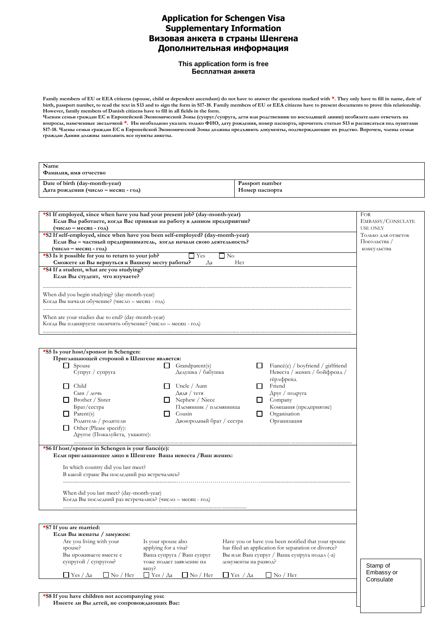# **Application for Schengen Visa Supplementary Information Визовая анкета в страны Шенгена Дополнительная информация**

#### **This application form is free Бесплатная анкета**

Family members of EU or EEA citizens (spouse, child or dependent ascendant) do not have to answer the questions marked with  $*$ . They only have to fill in name, date of **birth, passport number, to read the text in S13 and to sign the form in S17-18. Family members of EU or EEA citizens have to present documents to prove this relationship. However, family members of Danish citizens have to fill in all fields in the form.**

**Членам семьи граждан ЕС и Европейской Экономической Зоны (супруг/супруга, дети или родственник по восходящей линии) необязательно отвечать на вопросы, намеченные звездочкой \*. Им необходимо указать только ФИО, дату рождения, номер паспорта, прочитать статью S13 и расписаться под пунктами S17-18. Члены семьи граждан ЕС и Европейской Экономической Зоны должны предъявить документы, подтверждающие их родство. Впрочем, члены семьи граждан Дании должны заполнить все пункты анкеты.**

| Name<br>Фамилия, имя отчество                                         |                                   |
|-----------------------------------------------------------------------|-----------------------------------|
| Date of birth (day-month-year)<br>Дата рождения (число – месяц - год) | Passport number<br>Номер паспорта |
|                                                                       |                                   |

| *S1 If employed, since when have you had your present job? (day-month-year)        |                           |                                                       |                      |                                                     | FOR        |
|------------------------------------------------------------------------------------|---------------------------|-------------------------------------------------------|----------------------|-----------------------------------------------------|------------|
| Если Вы работаете, когда Вас приняли на работу в данном предприятии?               |                           |                                                       |                      | EMBASSY/CONSULATE                                   |            |
| (число – месяц - год)                                                              |                           |                                                       |                      | <b>USE ONLY</b>                                     |            |
| *S2 If self-employed, since when have you been self-employed? (day-month-year)     |                           |                                                       |                      | Только для отметок                                  |            |
| Если Вы - частный предприниматель, когда начали свою деятельность?                 |                           |                                                       |                      | Посольства /                                        |            |
| (число - месяц - год)                                                              |                           |                                                       |                      | консульства                                         |            |
| *S3 Is it possible for you to return to your job?                                  |                           | $\sqcup$ Yes<br>$\Box$ No                             |                      |                                                     |            |
| Сможете ли Вы вернуться к Вашему месту работы?                                     |                           | Her<br>Да                                             |                      |                                                     |            |
| *S4 If a student, what are you studying?<br>Если Вы студент, что изучаете?         |                           |                                                       |                      |                                                     |            |
|                                                                                    |                           |                                                       |                      |                                                     |            |
|                                                                                    |                           |                                                       |                      |                                                     |            |
| When did you begin studying? (day-month-year)                                      |                           |                                                       |                      |                                                     |            |
| Когда Вы начали обучение? (число - месяц - год)                                    |                           |                                                       |                      |                                                     |            |
|                                                                                    |                           |                                                       |                      |                                                     |            |
| When are your studies due to end? (day-month-year)                                 |                           |                                                       |                      |                                                     |            |
| Когда Вы планируете окончить обучение? (число - месяц - год)                       |                           |                                                       |                      |                                                     |            |
|                                                                                    |                           |                                                       |                      |                                                     |            |
|                                                                                    |                           |                                                       |                      |                                                     |            |
|                                                                                    |                           |                                                       |                      |                                                     |            |
| *S5 Is your host/sponsor in Schengen:<br>Приглашающей стороной в Шенгене является: |                           |                                                       |                      |                                                     |            |
|                                                                                    |                           |                                                       |                      | Fiancé(e) / boyfriend / girlfriend                  |            |
| $\Box$ Spouse<br>Супруг / супруга                                                  | LJ.                       | Grandparent(s)<br>Дедушка / бабушка                   | ப                    | Невеста / жених / бойфренд /                        |            |
|                                                                                    |                           |                                                       |                      | гёрлфренд                                           |            |
| $\Box$ Child                                                                       |                           | $\Box$ Uncle / Aunt                                   |                      | $\Box$ Friend                                       |            |
| Сын / дочь                                                                         |                           | Дядя / тетя                                           |                      | Друг / подруга                                      |            |
| Brother / Sister                                                                   |                           | $\Box$ Nephew / Niece                                 |                      | $\Box$ Company                                      |            |
| Брат/сестра                                                                        |                           | Племянник / племянница                                |                      | Компания (предприятие)                              |            |
| $\Box$ Parent(s)                                                                   |                           | Cousin                                                | ப                    | Organisation                                        |            |
| Родитель / родители                                                                |                           | Двоюродный брат / сестра                              |                      | Организация                                         |            |
| $\Box$ Other (Please specify):                                                     |                           |                                                       |                      |                                                     |            |
| Другое (Пожалуйста, укажите):                                                      |                           |                                                       |                      |                                                     |            |
|                                                                                    |                           |                                                       |                      |                                                     |            |
| *S6 If host/sponsor in Schengen is your fiancé(e):                                 |                           |                                                       |                      |                                                     |            |
| Если приглашающее лицо в Шенгене Ваша невеста / Ваш жених:                         |                           |                                                       |                      |                                                     |            |
| In which country did you last meet?                                                |                           |                                                       |                      |                                                     |            |
| В какой стране Вы последний раз встречались?                                       |                           |                                                       |                      |                                                     |            |
|                                                                                    |                           |                                                       |                      |                                                     |            |
|                                                                                    |                           |                                                       |                      |                                                     |            |
| When did you last meet? (day-month-year)                                           |                           |                                                       |                      |                                                     |            |
| Когда Вы последний раз встречались? (число - месяц - год)                          |                           |                                                       |                      |                                                     |            |
|                                                                                    |                           |                                                       |                      |                                                     |            |
|                                                                                    |                           |                                                       |                      |                                                     |            |
| *S7 If you are married:                                                            |                           |                                                       |                      |                                                     |            |
| Если Вы женаты / замужем:                                                          |                           |                                                       |                      |                                                     |            |
| Are you living with your                                                           | Is your spouse also       |                                                       |                      | Have you or have you been notified that your spouse |            |
| spouse?                                                                            | applying for a visa?      |                                                       |                      | has filed an application for separation or divorce? |            |
| Вы проживаете вместе с                                                             |                           | Ваша супруга / Ваш супруг                             |                      | Вы или Ваш супруг / Ваша супруга подал (-а)         |            |
| супругой / супругом?                                                               |                           | тоже подает заявление на                              | документы на развод? |                                                     |            |
|                                                                                    | визу?                     |                                                       |                      |                                                     | Stamp of   |
| $\Box$ No / Her<br>$\Box$ Yes / $\Diamond$ a                                       | $\Box$ Yes / $\Diamond$ a | $\hfill\Box$<br>No / Her<br>$\Box$ Yes / $\Diamond$ a |                      | $\hfill\Box$<br>No / Her                            | Embassy or |
|                                                                                    |                           |                                                       |                      |                                                     | Consulate  |
|                                                                                    |                           |                                                       |                      |                                                     |            |
| *S8 If you have children not accompanying you:                                     |                           |                                                       |                      |                                                     |            |
| Имеете ли Вы детей, не сопровождающих Вас:                                         |                           |                                                       |                      |                                                     |            |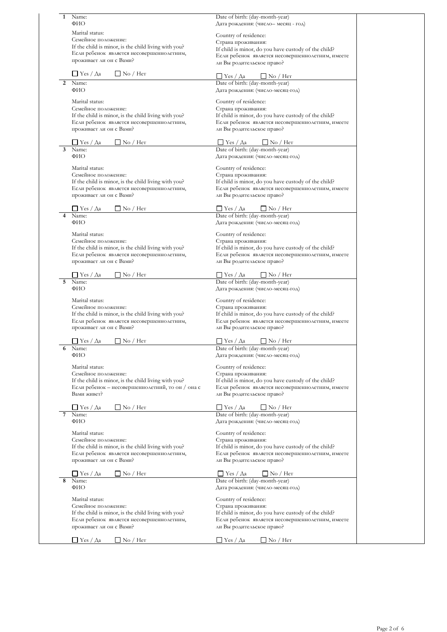| 1 | Name:<br>ФИО                                                                                      | Date of birth: (day-month-year)<br>Дата рождения: (число- месяц - год)                                   |
|---|---------------------------------------------------------------------------------------------------|----------------------------------------------------------------------------------------------------------|
|   | Marital status:                                                                                   |                                                                                                          |
|   | Семейное положение:                                                                               | Country of residence:<br>Страна проживания:                                                              |
|   | If the child is minor, is the child living with you?                                              | If child is minor, do you have custody of the child?                                                     |
|   | Если ребенок является несовершеннолетним,                                                         | Если ребенок является несовершеннолетним, имеете                                                         |
|   | проживает ли он с Вами?                                                                           | ли Вы родительское право?                                                                                |
|   | $\Box$ Yes / $\Diamond$ a<br>$\Box$ No / Her                                                      | $\Box$ Yes / $\Diamond$ a<br>$\Box$ No / Her                                                             |
| 2 | Name:<br>ФИО                                                                                      | Date of birth: (day-month-year)<br>Дата рождения: (число-месяц-год)                                      |
|   | Marital status:                                                                                   | Country of residence:                                                                                    |
|   | Семейное положение:                                                                               | Страна проживания:                                                                                       |
|   | If the child is minor, is the child living with you?                                              | If child is minor, do you have custody of the child?                                                     |
|   | Если ребенок является несовершеннолетним,<br>проживает ли он с Вами?                              | Если ребенок является несовершеннолетним, имеете<br>ли Вы родительское право?                            |
|   |                                                                                                   |                                                                                                          |
| 3 | $\Box$ No / Her<br>$\Box$ Yes / Aa<br>Name:                                                       | $\Box$ Yes / Aa<br>$\Box$ No / Her<br>Date of birth: (day-month-year)                                    |
|   | ФИО                                                                                               | Дата рождения: (число-месяц-год)                                                                         |
|   | Marital status:                                                                                   | Country of residence:                                                                                    |
|   | Семейное положение:                                                                               | Страна проживания:                                                                                       |
|   | If the child is minor, is the child living with you?                                              | If child is minor, do you have custody of the child?                                                     |
|   | Если ребенок является несовершеннолетним,<br>проживает ли он с Вами?                              | Если ребенок является несовершеннолетним, имеете<br>ли Вы родительское право?                            |
|   | ∐ Yes / Да<br>$\Box$ No / Her                                                                     | ∐ Yes / Да<br>$\Box$ No / Her                                                                            |
| 4 | Name:                                                                                             | Date of birth: (day-month-year)                                                                          |
|   | ФИО                                                                                               | Дата рождения: (число-месяц-год)                                                                         |
|   | Marital status:                                                                                   | Country of residence:                                                                                    |
|   | Семейное положение:<br>If the child is minor, is the child living with you?                       | Страна проживания:<br>If child is minor, do you have custody of the child?                               |
|   | Если ребенок является несовершеннолетним,                                                         | Если ребенок является несовершеннолетним, имеете                                                         |
|   | проживает ли он с Вами?                                                                           | ли Вы родительское право?                                                                                |
|   | $\Box$ No / Her<br>∐ Yes / Да                                                                     | $\Box$ Yes / $\Diamond$ a<br>$\Box$ No / Her                                                             |
| 5 | Name:                                                                                             | Date of birth: (day-month-year)                                                                          |
|   | ФИО                                                                                               | Дата рождения: (число-месяц-год)                                                                         |
|   | Marital status:                                                                                   | Country of residence:                                                                                    |
|   | Семейное положение:                                                                               | Страна проживания:                                                                                       |
|   | If the child is minor, is the child living with you?<br>Если ребенок является несовершеннолетним, | If child is minor, do you have custody of the child?<br>Если ребенок является несовершеннолетним, имеете |
|   | проживает ли он с Вами?                                                                           | ли Вы родительское право?                                                                                |
|   | $\Box$ Yes / $\Diamond$ a<br>$\Box$ No / Her                                                      | $\Box$ Yes / $\Diamond$ a<br>$\Box$ No / Het                                                             |
| 6 | Name:                                                                                             | Date of birth: (day-month-year)                                                                          |
|   | ФИО                                                                                               | Дата рождения: (число-месяц-год)                                                                         |
|   | Marital status:<br>Семейное положение:                                                            | Country of residence:<br>Страна проживания:                                                              |
|   | If the child is minor, is the child living with you?                                              | If child is minor, do you have custody of the child?                                                     |
|   | Если ребенок - несовершеннолетний, то он / она с                                                  | Если ребенок является несовершеннолетним, имеете                                                         |
|   | Вами живет?                                                                                       | ли Вы родительское право?                                                                                |
|   | $\Box$ No / Her<br>∐ Yes / Да                                                                     | ∐ Yes / Да<br>$\Box$ No / Her                                                                            |
|   | Name:<br>ФИО                                                                                      | Date of birth: (day-month-year)<br>Дата рождения: (число-месяц-год)                                      |
|   | Marital status:                                                                                   | Country of residence:                                                                                    |
|   | Семейное положение:                                                                               | Страна проживания:                                                                                       |
|   | If the child is minor, is the child living with you?                                              | If child is minor, do you have custody of the child?                                                     |
|   | Если ребенок является несовершеннолетним,<br>проживает ли он с Вами?                              | Если ребенок является несовершеннолетним, имеете<br>ли Вы родительское право?                            |
|   | ∐ Yes / Да<br>$\Box$ No / Her                                                                     | $\Box$ Yes / $\Diamond$ a<br>$\Box$ No / Her                                                             |
| 8 | Name:                                                                                             | Date of birth: (day-month-year)                                                                          |
|   | ФИО                                                                                               | Дата рождения: (число-месяц-год)                                                                         |
|   | Marital status:                                                                                   | Country of residence:                                                                                    |
|   | Семейное положение:<br>If the child is minor, is the child living with you?                       | Страна проживания:<br>If child is minor, do you have custody of the child?                               |
|   | Если ребенок является несовершеннолетним,                                                         | Если ребенок является несовершеннолетним, имеете                                                         |
|   | проживает ли он с Вами?                                                                           | ли Вы родительское право?                                                                                |
|   | $\Box$ Yes / $\Diamond$ a<br>$\Box$ No / Her                                                      | $\Box$ Yes / $\Diamond$ a<br>$\Box$ No / Her                                                             |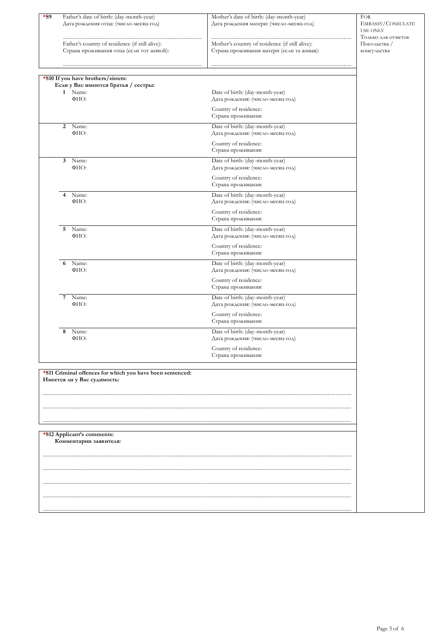| $*_{S9}$                                                                                 |                                                                                     |                                    |
|------------------------------------------------------------------------------------------|-------------------------------------------------------------------------------------|------------------------------------|
| Father's date of birth: (day-month-year)<br>Дата рождения отца: (число-месяц-год)        | Mother's date of birth: (day-month-year)<br>Дата рождения матери: (число-месяц-год) | <b>FOR</b><br>EMBASSY/CONSULATE    |
|                                                                                          |                                                                                     | <b>USE ONLY</b>                    |
| Father's country of residence (if still alive):                                          | Mother's country of residence (if still alive):                                     | Только для отметок<br>Посольства / |
| Страна проживания отца (если тот живой):                                                 | Страна проживания матери (если та живая):                                           | консульства                        |
|                                                                                          |                                                                                     |                                    |
|                                                                                          |                                                                                     |                                    |
| *S10 If you have brothers/sisters:<br>Если у Вас имеются братья / сестры:                |                                                                                     |                                    |
| 1 Name:                                                                                  | Date of birth: (day-month-year)                                                     |                                    |
| ФИО:                                                                                     | Дата рождения: (число-месяц-год)                                                    |                                    |
|                                                                                          | Country of residence:<br>Страна проживания:                                         |                                    |
| 2<br>Name:                                                                               | Date of birth: (day-month-year)                                                     |                                    |
| ФИО:                                                                                     | Дата рождения: (число-месяц-год)                                                    |                                    |
|                                                                                          | Country of residence:                                                               |                                    |
|                                                                                          | Страна проживания:                                                                  |                                    |
| 3 Name:<br>ФИО:                                                                          | Date of birth: (day-month-year)<br>Дата рождения: (число-месяц-год)                 |                                    |
|                                                                                          | Country of residence:                                                               |                                    |
|                                                                                          | Страна проживания:                                                                  |                                    |
| Name:<br>4                                                                               | Date of birth: (day-month-year)                                                     |                                    |
| ФИО:                                                                                     | Дата рождения: (число-месяц-год)                                                    |                                    |
|                                                                                          | Country of residence:<br>Страна проживания:                                         |                                    |
| 5 Name:                                                                                  | Date of birth: (day-month-year)                                                     |                                    |
| ФИО:                                                                                     | Дата рождения: (число-месяц-год)                                                    |                                    |
|                                                                                          | Country of residence:                                                               |                                    |
|                                                                                          | Страна проживания:                                                                  |                                    |
| Name:<br>6<br>ФИО:                                                                       | Date of birth: (day-month-year)                                                     |                                    |
|                                                                                          | Дата рождения: (число-месяц-год)                                                    |                                    |
|                                                                                          | Country of residence:<br>Страна проживания:                                         |                                    |
| 7<br>Name:                                                                               | Date of birth: (day-month-year)                                                     |                                    |
| ФИО:                                                                                     | Дата рождения: (число-месяц-год)                                                    |                                    |
|                                                                                          | Country of residence:                                                               |                                    |
|                                                                                          | Страна проживания:                                                                  |                                    |
| Name:<br>8<br>ФИО:                                                                       | Date of birth: (day-month-year)<br>Дата рождения: (число-месяц-год)                 |                                    |
|                                                                                          | Country of residence:                                                               |                                    |
|                                                                                          | Страна проживания:                                                                  |                                    |
|                                                                                          |                                                                                     |                                    |
| *S11 Criminal offences for which you have been sentenced:<br>Имеется ли у Вас судимость: |                                                                                     |                                    |
|                                                                                          |                                                                                     |                                    |
|                                                                                          |                                                                                     |                                    |
|                                                                                          |                                                                                     |                                    |
|                                                                                          |                                                                                     |                                    |
|                                                                                          |                                                                                     |                                    |
| *S12 Applicant's comments:<br>Комментарии заявителя:                                     |                                                                                     |                                    |
|                                                                                          |                                                                                     |                                    |
|                                                                                          |                                                                                     |                                    |
|                                                                                          |                                                                                     |                                    |
|                                                                                          |                                                                                     |                                    |
|                                                                                          |                                                                                     |                                    |
|                                                                                          |                                                                                     |                                    |
|                                                                                          |                                                                                     |                                    |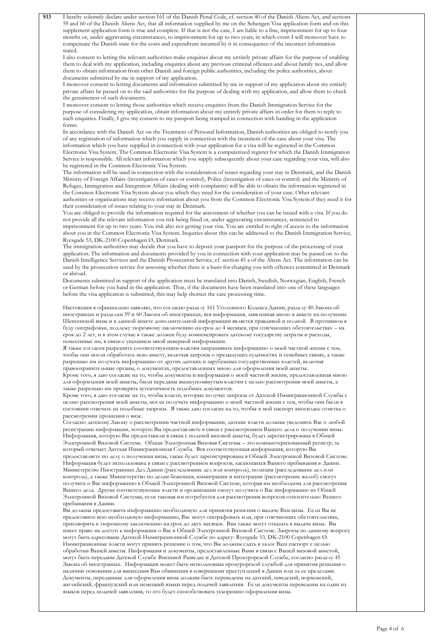| <b>S13</b> | I hereby solemnly declare under section 161 of the Danish Penal Code, cf. section 40 of the Danish Aliens Act, and sections                                                                                                                           |  |
|------------|-------------------------------------------------------------------------------------------------------------------------------------------------------------------------------------------------------------------------------------------------------|--|
|            | 59 and 60 of the Danish Aliens Act, that all information supplied by me on the Schengen Visa application form and on this                                                                                                                             |  |
|            | supplement application form is true and complete. If that is not the case, I am liable to a fine, imprisonment for up to four                                                                                                                         |  |
|            | months or, under aggravating circumstances, to imprisonment for up to two years, in which event I will moreover have to                                                                                                                               |  |
|            | compensate the Danish state for the costs and expenditure incurred by it in consequence of the incorrect information<br>stated.                                                                                                                       |  |
|            | I also consent to letting the relevant authorities make enquiries about my entirely private affairs for the purpose of enabling                                                                                                                       |  |
|            | them to deal with my application, including enquiries about any previous criminal offences and about family ties, and allow                                                                                                                           |  |
|            | them to obtain information from other Danish and foreign public authorities, including the police authorities, about                                                                                                                                  |  |
|            | documents submitted by me in support of my application.                                                                                                                                                                                               |  |
|            | I moreover consent to letting documents and information submitted by me in support of my application about my entirely                                                                                                                                |  |
|            | private affairs be passed on to the said authorities for the purpose of dealing with my application, and allow them to check                                                                                                                          |  |
|            | the genuineness of such documents.<br>I moreover consent to letting those authorities which receive enquiries from the Danish Immigration Service for the                                                                                             |  |
|            | purpose of considering my application, obtain information about my entirely private affairs in order for them to reply to                                                                                                                             |  |
|            | such enquiries. Finally, I give my consent to my passport being stamped in connection with handing in the application                                                                                                                                 |  |
|            | forms.                                                                                                                                                                                                                                                |  |
|            | In accordance with the Danish Act on the Treatment of Personal Information, Danish authorities are obliged to notify you                                                                                                                              |  |
|            | of any registration of information which you supply in connection with the treatment of the case about your visa. The                                                                                                                                 |  |
|            | information which you have supplied in connection with your application for a visa will be registered in the Common<br>Electronic Visa System. The Common Electronic Visa System is a computerized register for which the Danish Immigration          |  |
|            | Service is responsible. All relevant information which you supply subsequently about your case regarding your visa, will also                                                                                                                         |  |
|            | be registered in the Common Electronic Visa System.                                                                                                                                                                                                   |  |
|            | The information will be used in connection with the consideration of issues regarding your stay in Denmark, and the Danish                                                                                                                            |  |
|            | Ministry of Foreign Affairs (investigation of cases or control), Police (investigation of cases or control) and the Ministry of                                                                                                                       |  |
|            | Refugee, Immigration and Integration Affairs (dealing with complaints) will be able to obtain the information registered in                                                                                                                           |  |
|            | the Common Electronic Visa System about you which they need for the consideration of your case. Other relevant                                                                                                                                        |  |
|            | authorities or organizations may receive information about you from the Common Electronic Visa System if they need it for<br>their consideration of issues relating to your stay in Denmark.                                                          |  |
|            | You are obliged to provide the information required for the assessment of whether you can be issued with a visa. If you do                                                                                                                            |  |
|            | not provide all the relevant information you risk being fined or, under aggravating circumstances, sentenced to                                                                                                                                       |  |
|            | imprisonment for up to two years. You risk also not getting your visa. You are entitled to right of access to the information                                                                                                                         |  |
|            | about you in the Common Electronic Visa System. Inquiries about this can be addressed to the Danish Immigration Service,                                                                                                                              |  |
|            | Ryesgade 53, DK-2100 Copenhagen Ø, Denmark.                                                                                                                                                                                                           |  |
|            | The immigration authorities may decide that you have to deposit your passport for the purpose of the processing of your                                                                                                                               |  |
|            | application. The information and documents provided by you in connection with your application may be passed on to the<br>Danish Intelligence Services and the Danish Prosecution Service, cf. section 45 a of the Aliens Act. The information can be |  |
|            | used by the prosecution service for assessing whether there is a basis for charging you with offences committed in Denmark                                                                                                                            |  |
|            | or abroad.                                                                                                                                                                                                                                            |  |
|            | Documents submitted in support of the application must be translated into Danish, Swedish, Norwegian, English, French                                                                                                                                 |  |
|            | or German before you hand in the application. Thus, if the documents have been translated into one of these languages                                                                                                                                 |  |
|            | before the visa application is submitted, this may help shorten the case processing time.                                                                                                                                                             |  |
|            | Настоящим я официально заявляю, что согласно разделу 161 Уголовного Кодекса Дании, разделу 40 Закона об                                                                                                                                               |  |
|            | иностранцах и разделам 59 и 60 Закона об иностранцах, вся информация, заявленная мною в анкете на получение                                                                                                                                           |  |
|            | Шенгенской визы и в данной анкете дополнительной информации является правдивой и полной. В противном я                                                                                                                                                |  |
|            | буду оштрафован, подлежу тюремному заключению на срок до 4 месяцев, при отягчающих обстоятельствах - на                                                                                                                                               |  |
|            | срок до 2 лет, и в этом случае я также должен буду компенсировать датскому государству затраты и расходы,                                                                                                                                             |  |
|            | понесенные им, в связи с указанием мной неверной информации.                                                                                                                                                                                          |  |
|            | Я также согласен разрешить соответствующим властям запрашивать информацию о моей частной жизни с тем,<br>чтобы они могли обработать мою анкету, включая запросы о предыдущих судимостях и семейных связях, а также                                    |  |
|            | разрешаю им получать информацию от других датских и зарубежных государственных властей, включая                                                                                                                                                       |  |
|            | правоохранительные органы, о документах, предоставленных мною для оформления моей анкеты.                                                                                                                                                             |  |
|            | Кроме того, я даю согласие на то, чтобы документы и информация о моей частной жизни, предоставленная мною                                                                                                                                             |  |
|            | для оформления моей анкеты, были переданы вышеупомянутым властям с целью рассмотрения моей анкеты, а                                                                                                                                                  |  |
|            | также разрешаю им проверять аутентичность подобных документов.                                                                                                                                                                                        |  |
|            | Кроме того, я даю согласие на то, чтобы власти, которые получат запросы от Датской Иммиграционной Службы с<br>целью рассмотрения моей анкеты, могли получать информацию о моей частной жизни с тем, чтобы они были в                                  |  |
|            | состоянии отвечать на подобные запросы. Я также даю согласие на то, чтобы в мой паспорт вносилась отметка о                                                                                                                                           |  |
|            | рассмотрении прошения о визе.                                                                                                                                                                                                                         |  |
|            | Согласно датскому Закону о рассмотрении частной информации, датские власти должны уведомить Вас о любой                                                                                                                                               |  |
|            | регистрации информации, которую Вы предоставляете в связи с рассмотрением Вашего дела о получении визы.                                                                                                                                               |  |
|            | Информация, которую Вы предоставили в связи с подачей визовой анкеты, будет зарегистрирована в Общей                                                                                                                                                  |  |
|            | Электронной Визовой Системе. Общая Электронная Визовая Системы - это компьютеризованный регистр, за<br>который отвечает Датская Иммиграционная Служба. Вся соответствующая информация, которую Вы                                                     |  |
|            | предоставляете по делу о получении визы, также будет зарегистрирована в Общей Электронной Визовой Системе.                                                                                                                                            |  |
|            | Информация будет использована в связи с рассмотрением вопросов, касающихся Вашего пребывания в Дании.                                                                                                                                                 |  |
|            | Министерство Иностранных Дел Дании (расследование дел или контроль), полиция (расследование дел или                                                                                                                                                   |  |
|            | контроль), а также Министерство по делам беженцев, иммиграции и интеграции (рассмотрение жалоб) смогут                                                                                                                                                |  |
|            | получить о Вас информацию в Общей Электронной Визовой Системе, которая им необходима для рассмотрения                                                                                                                                                 |  |
|            | Вашего дела. Другие соответствующие власти и организации смогут получить о Вас информацию из Общей                                                                                                                                                    |  |
|            | Электронной Визовой Системы, если таковая им потребуется для рассмотрения вопросов относительно Вашего<br>пребывания в Дании.                                                                                                                         |  |
|            | Вы должны предоставить информацию необходимую для принятия решения о выдаче Вам визы. Если Вы не                                                                                                                                                      |  |
|            | предоставите всю необходимую информацию, Вас могут оштрафовать или, при отягчающих обстоятельствах,                                                                                                                                                   |  |
|            | приговорить к тюремному заключению на срок до двух месяцев. Вам также могут отказать в выдаче визы. Вы                                                                                                                                                |  |
|            | имеет право на доступ к информации о Вас в Общей Электронной Визовой Системе. Запросы по данному вопросу                                                                                                                                              |  |
|            | могут быть адресованы Датской Иммиграционной Службе по адресу: Ryesgade 53, DK-2100 Copenhagen Ø.                                                                                                                                                     |  |
|            | Иммиграционные власти могут принять решение о том, что Вы должны сдать в залог Ваш паспорт с целью<br>обработки Вашей анкеты. Информация и документы, предоставленные Вами в связи с Вашей визовой анкетой,                                           |  |
|            | могут быть переданы Датской Службе Внешней Разведке и Датской Прокурорской Службе, согласно разделу 45                                                                                                                                                |  |
|            | Закона об иностранцах. Информация может быть использована прокурорской службой для принятия решения о                                                                                                                                                 |  |
|            | наличии основания для вынесения Вам обвинения в совершении преступлений в Дании или за ее пределами.                                                                                                                                                  |  |
|            | Документы, переданные для оформления визы должны быть переведены на датский, шведский, норвежский,                                                                                                                                                    |  |
|            | английский, французский или немецкий языки перед подачей заявления. Если документы переведены на один из                                                                                                                                              |  |
|            | языков перед подачей заявления, то это будет способствовать ускорению оформления визы.                                                                                                                                                                |  |
|            |                                                                                                                                                                                                                                                       |  |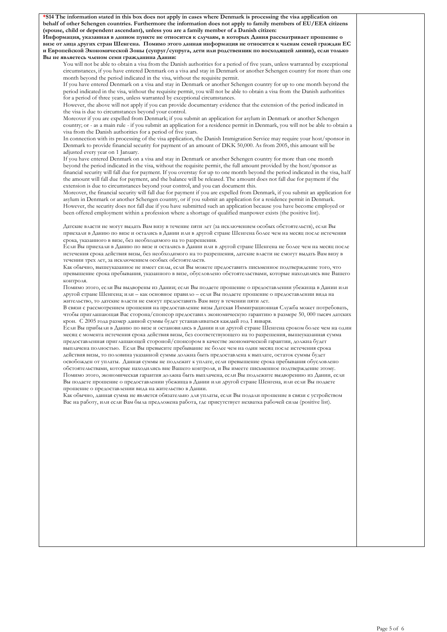**\*S14 The information stated in this box does not apply in cases where Denmark is processing the visa application on behalf of other Schengen countries. Furthermore the information does not apply to family members of EU/EEA citizens (spouse, child or dependent ascendant), unless you are a family member of a Danish citizen:**

**Информация, указанная в данном пункте не относится к случаям, в которых Дания рассматривает прошение о визе от лица других стран Шенгена. Помимо этого данная информация не относится к членам семей граждан ЕС и Европейской Экономической Зоны (супруг/супруга, дети или родственник по восходящей линии), если только Вы не являетесь членом семи гражданина Дании:**

You will not be able to obtain a visa from the Danish authorities for a period of five years, unless warranted by exceptional circumstances, if you have entered Denmark on a visa and stay in Denmark or another Schengen country for more than one month beyond the period indicated in the visa, without the requisite permit.

If you have entered Denmark on a visa and stay in Denmark or another Schengen country for up to one month beyond the period indicated in the visa, without the requisite permit, you will not be able to obtain a visa from the Danish authorities for a period of three years, unless warranted by exceptional circumstances.

However, the above will not apply if you can provide documentary evidence that the extension of the period indicated in the visa is due to circumstances beyond your control.

Moreover if you are expelled from Denmark; if you submit an application for asylum in Denmark or another Schengen country; or - as a main rule - if you submit an application for a residence permit in Denmark, you will not be able to obtain a visa from the Danish authorities for a period of five years.

In connection with its processing of the visa application, the Danish Immigration Service may require your host/sponsor in Denmark to provide financial security for payment of an amount of DKK 50,000. As from 2005, this amount will be adjusted every year on 1 January.

If you have entered Denmark on a visa and stay in Denmark or another Schengen country for more than one month beyond the period indicated in the visa, without the requisite permit, the full amount provided by the host/sponsor as financial security will fall due for payment. If you overstay for up to one month beyond the period indicated in the visa, half the amount will fall due for payment, and the balance will be released. The amount does not fall due for payment if the extension is due to circumstances beyond your control, and you can document this.

Moreover, the financial security will fall due for payment if you are expelled from Denmark, if you submit an application for asylum in Denmark or another Schengen country, or if you submit an application for a residence permit in Denmark. However, the security does not fall due if you have submitted such an application because you have become employed or been offered employment within a profession where a shortage of qualified manpower exists (the positive list).

Датские власти не могут выдать Вам визу в течение пяти лет (за исключением особых обстоятельств), если Вы приехали в Данию по визе и остались в Дании или в другой стране Шенгена более чем на месяц после истечения срока, указанного в визе, без необходимого на то разрешения.

Если Вы приехали в Данию по визе и остались в Дании или в другой стране Шенгена не более чем на месяц после истечения срока действия визы, без необходимого на то разрешения, датские власти не смогут выдать Вам визу в течении трех лет, за исключением особых обстоятельств.

Как обычно, вышеуказанное не имеет силы, если Вы можете предоставить письменное подтверждение того, что превышение срока пребывания, указанного в визе, обусловлено обстоятельствами, которые находились вне Вашего контроля.

Помимо этого, если Вы выдворены из Дании; если Вы подаете прошение о предоставлении убежища в Дании или другой стране Шенгена; или – как основное правило – если Вы подаете прошение о предоставлении вида на жительство, то датские власти не смогут предоставить Вам визу в течении пяти лет.

В связи с рассмотрением прошения на предоставление визы Датская Иммиграционная Служба может потребовать, чтобы приглашающая Вас сторона/спонсор предоставил экономическую гарантию в размере 50, 000 тысяч датских крон. С 2005 года размер данной суммы будет устанавливаться каждый год 1 января.

Если Вы прибыли в Данию по визе и остановились в Дании или другой стране Шенгена сроком более чем на один месяц с момента истечения срока действия визы, без соответствующего на то разрешения, вышеуказанная сумма предоставленная приглашающей стороной/спонсором в качестве экономической гарантии, должна будет выплачена полностью. Если Вы превысите пребывание не более чем на один месяц после истечения срока действия визы, то половина указанной суммы должна быть предоставлена к выплате, остаток суммы будет освобожден от уплаты. Данная суммы не подлежит к уплате, если превышение срока пребывания обусловлено

обстоятельствами, которые находились вне Вашего контроля, и Вы имеете письменное подтверждение этому. Помимо этого, экономическая гарантия должна быть выплачена, если Вы подлежите выдворению из Дании, если Вы подаете прошение о предоставлении убежища в Дании или другой стране Шенгена, или если Вы подаете прошение о предоставлении вида на жительство в Дании.

Как обычно, данная сумма не является обязательно для уплаты, если Вы подали прошение в связи с устройством Вас на работу, или если Вам была предложена работа, где присутствует нехватка рабочей силы (positive list).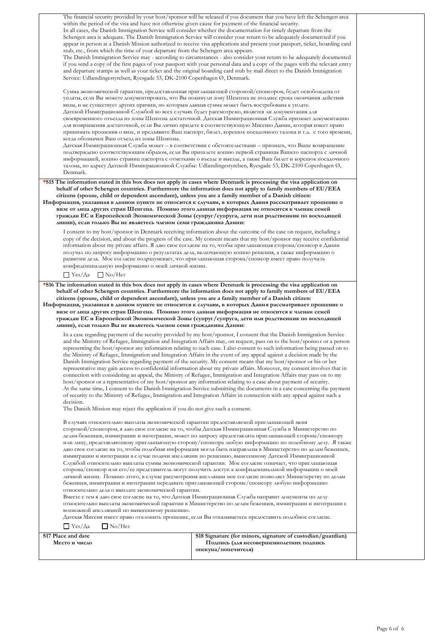| Место и число                                                                                                                                                                                                                                                                                                                      | Подпись (для несовершеннолетних подпись<br>опекуна/попечителя)                                                                                                                                                                                                                                                                                                                                                                                                                                                                                                                                                                                                                                                                                                                                                                                                                                                                                                                                                                                                                                                                                                                                                                                                                                                                                                                                                                                                                                                                                                                                                                                                                                                                                                                                                                                                                                                                                                                                                                                                                                                                                                              |  |
|------------------------------------------------------------------------------------------------------------------------------------------------------------------------------------------------------------------------------------------------------------------------------------------------------------------------------------|-----------------------------------------------------------------------------------------------------------------------------------------------------------------------------------------------------------------------------------------------------------------------------------------------------------------------------------------------------------------------------------------------------------------------------------------------------------------------------------------------------------------------------------------------------------------------------------------------------------------------------------------------------------------------------------------------------------------------------------------------------------------------------------------------------------------------------------------------------------------------------------------------------------------------------------------------------------------------------------------------------------------------------------------------------------------------------------------------------------------------------------------------------------------------------------------------------------------------------------------------------------------------------------------------------------------------------------------------------------------------------------------------------------------------------------------------------------------------------------------------------------------------------------------------------------------------------------------------------------------------------------------------------------------------------------------------------------------------------------------------------------------------------------------------------------------------------------------------------------------------------------------------------------------------------------------------------------------------------------------------------------------------------------------------------------------------------------------------------------------------------------------------------------------------------|--|
| S17 Place and date                                                                                                                                                                                                                                                                                                                 | S18 Signature (for minors, signature of custodian/guardian)                                                                                                                                                                                                                                                                                                                                                                                                                                                                                                                                                                                                                                                                                                                                                                                                                                                                                                                                                                                                                                                                                                                                                                                                                                                                                                                                                                                                                                                                                                                                                                                                                                                                                                                                                                                                                                                                                                                                                                                                                                                                                                                 |  |
| decision.<br>The Danish Mission may reject the application if you do not give such a consent.<br>В случаях относительно выплаты экономической гарантии предоставляемой приглашающей меня<br>относительно дела о выплате экономической гарантии.<br>возможной апелляцией по вынесенному решению.<br>$□$ Yes/ $∧$ a<br>$\Box$ No/Her | the Ministry of Refugee, Immigration and Integration Affairs in the event of any appeal against a decision made by the<br>Danish Immigration Service regarding payment of the security. My consent means that my host/sponsor or his or her<br>representative may gain access to confidential information about my private affairs. Moreover, my consent involves that in<br>connection with considering an appeal, the Ministry of Refugee, Immigration and Integration Affairs may pass on to my<br>host/sponsor or a representative of my host/sponsor any information relating to a case about payment of security.<br>At the same time, I consent to the Danish Immigration Service submitting the documents in a case concerning the payment<br>of security to the Ministry of Refugee, Immigration and Integration Affairs in connection with any appeal against such a<br>стороной/спонсором, я даю свое согласие на то, чтобы Датская Иммиграционная Служба и Министерство по<br>делам беженцев, иммиграции и интеграции, может по запросу предоставлять приглашающей стороне/спонсору<br>или лицу, представляющему приглашающую сторону/спонсора любую информацию по подобному делу. Я также<br>даю свое согласие на то, чтобы подобная информация могла быть направлена в Министерство по делам беженцев,<br>иммиграции и интеграции в случае подачи апелляции по решению, вынесенному Датской Иммиграционной<br>Службой относительно выплаты суммы экономической гарантии. Мое согласие означает, что приглашающая<br>сторона/спонсор или его/ее представитель могут получить доступ к конфиденциальной информации о моей<br>личной жизни. Помимо этого, в случае рассмотрения апелляции мое согласие позволяет Министерству по делам<br>беженцев, иммиграции и интеграции передавать приглашающей стороне/спонсору любую информацию<br>Вместе с тем я даю свое согласие на то, что Датская Иммиграционная Служба направит документы по делу<br>относительно выплаты экономической гарантии в Министерство по делам беженцев, иммиграции и интеграции с<br>Датская Миссия имеет право отклонить прошение, если Вы отказываетесь предоставить подобное согласие. |  |
| *S16 The information stated in this box does not apply in cases where Denmark is processing the visa application on<br>citizens (spouse, child or dependent ascendant), unless you are a family member of a Danish citizen:<br>линии), если только Вы не являетесь членом семи гражданина Дании:                                   | behalf of other Schengen countries. Furthermore the information does not apply to family members of EU/EEA<br>Информация, указанная в данном пункте не относится к случаям, в которых Дания рассматривает прошение о<br>визе от лица других стран Шенгена. Помимо этого данная информация не относится к членам семей<br>граждан ЕС и Европейской Экономической Зоны (супруг/супруга, дети или родственник по восходящей<br>In a case regarding payment of the security provided by my host/sponsor, I consent that the Danish Immigration Service<br>and the Ministry of Refugee, Immigration and Integration Affairs may, on request, pass on to the host/sponsor or a person<br>representing the host/sponsor any information relating to such case. I also consent to such information being passed on to                                                                                                                                                                                                                                                                                                                                                                                                                                                                                                                                                                                                                                                                                                                                                                                                                                                                                                                                                                                                                                                                                                                                                                                                                                                                                                                                                               |  |
| конфиденциальную информацию о моей личной жизни.<br>$\Box$ Yes/ $\Diamond$ a $\Box$ No/Her                                                                                                                                                                                                                                         | I consent to my host/sponsor in Denmark receiving information about the outcome of the case on request, including a<br>copy of the decision, and about the progress of the case. My consent means that my host/sponsor may receive confidential<br>information about my private affairs. Я даю свое согласие на то, чтобы приглашающая сторона/спонсор в Дании<br>получал по запросу информацию о результатах дела, включающую копию решения, а также информацию о<br>развитии дела. Мое согласие подразумевает, что приглашающая сторона/спонсор имеет право получать                                                                                                                                                                                                                                                                                                                                                                                                                                                                                                                                                                                                                                                                                                                                                                                                                                                                                                                                                                                                                                                                                                                                                                                                                                                                                                                                                                                                                                                                                                                                                                                                      |  |
| *S15 The information stated in this box does not apply in cases where Denmark is processing the visa application on<br>citizens (spouse, child or dependent ascendant), unless you are a family member of a Danish citizen:<br>линии), если только Вы не являетесь членом семи гражданина Дании:                                   | behalf of other Schengen countries. Furthermore the information does not apply to family members of EU/EEA<br>Информация, указанная в данном пункте не относится к случаям, в которых Дания рассматривает прошение о<br>визе от лица других стран Шенгена. Помимо этого данная информация не относится к членам семей<br>граждан ЕС и Европейской Экономической Зоны (супруг/супруга, дети или родственник по восходящей                                                                                                                                                                                                                                                                                                                                                                                                                                                                                                                                                                                                                                                                                                                                                                                                                                                                                                                                                                                                                                                                                                                                                                                                                                                                                                                                                                                                                                                                                                                                                                                                                                                                                                                                                    |  |
| Датской Иммиграционной Службой во всех случаях будет рассмотрено, является ли документация для<br>когда обозначен Ваш отъезд из зоны Шенгена.<br>Denmark.                                                                                                                                                                          | своевременного отъезда из зоны Шенгена достаточной. Датская Иммиграционная Служба признает документацию<br>для возвращения достаточной, если Вы лично придете в соответствующую Миссию Дании, которая имеет право<br>принимать прошения о визе, и предъявите Ваш паспорт, билет, корешок посадочного талона и т.д. с того времени,<br>Датская Иммиграционная Служба может – в соответствии с обстоятельствами – признать, что Ваше возвращение<br>подтверждено соответствующим образом, если Вы пришлете копию первой страницы Вашего паспорта с личной<br>информацией, копию страниц паспорта с отметками о въезде и выезде, а также Ваш билет и корешок посадочного<br>талона, по адресу Датской Иммиграционной Службы: Udlændingestyrelsen, Ryesgade 53, DK-2100 Copenhagen Ø,                                                                                                                                                                                                                                                                                                                                                                                                                                                                                                                                                                                                                                                                                                                                                                                                                                                                                                                                                                                                                                                                                                                                                                                                                                                                                                                                                                                           |  |
| визы, и не существует других причин, по которым данная сумма может быть востребована к уплате.                                                                                                                                                                                                                                     | Сумма экономической гарантии, предоставленная приглашающей стороной/спонсором, будет освобождена от<br>уплаты, если Вы можете документировать, что Вы покинули зону Шенгена не позднее срока окончания действия                                                                                                                                                                                                                                                                                                                                                                                                                                                                                                                                                                                                                                                                                                                                                                                                                                                                                                                                                                                                                                                                                                                                                                                                                                                                                                                                                                                                                                                                                                                                                                                                                                                                                                                                                                                                                                                                                                                                                             |  |
| within the period of the visa and have not otherwise given cause for payment of the financial security.<br>stub, etc., from which the time of your departure from the Schengen area appears.<br>Service: Udlændingestyrelsen, Ryesgade 53, DK-2100 Copenhagen Ø, Denmark.                                                          | The financial security provided by your host/sponsor will be released if you document that you have left the Schengen area<br>In all cases, the Danish Immigration Service will consider whether the documentation for timely departure from the<br>Schengen area is adequate. The Danish Immigration Service will consider your return to be adequately documented if you<br>appear in person at a Danish Mission authorized to receive visa applications and present your passport, ticket, boarding card<br>The Danish Immigration Service may - according to circumstances - also consider your return to be adequately documented<br>if you send a copy of the first pages of your passport with your personal data and a copy of the pages with the relevant entry<br>and departure stamps as well as your ticket and the original boarding card stub by mail direct to the Danish Immigration                                                                                                                                                                                                                                                                                                                                                                                                                                                                                                                                                                                                                                                                                                                                                                                                                                                                                                                                                                                                                                                                                                                                                                                                                                                                        |  |